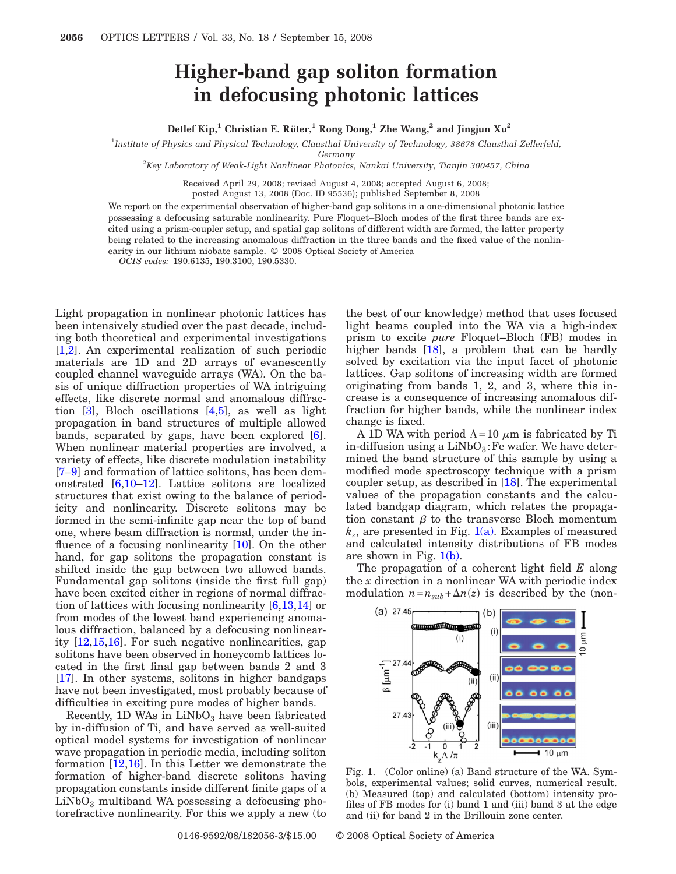## **Higher-band gap soliton formation in defocusing photonic lattices**

## **Detlef Kip**,<sup>1</sup> **Christian E. Rüter,**<sup>1</sup> **Rong Dong,<sup>1</sup> <b>Zhe Wang**,<sup>2</sup> **and Jingjun Xu**<sup>2</sup>

1 *Institute of Physics and Physical Technology, Clausthal University of Technology, 38678 Clausthal-Zellerfeld,*

*Germany*

2 *Key Laboratory of Weak-Light Nonlinear Photonics, Nankai University, Tianjin 300457, China*

Received April 29, 2008; revised August 4, 2008; accepted August 6, 2008;

posted August 13, 2008 (Doc. ID 95536); published September 8, 2008

We report on the experimental observation of higher-band gap solitons in a one-dimensional photonic lattice possessing a defocusing saturable nonlinearity. Pure Floquet–Bloch modes of the first three bands are excited using a prism-coupler setup, and spatial gap solitons of different width are formed, the latter property being related to the increasing anomalous diffraction in the three bands and the fixed value of the nonlinearity in our lithium niobate sample. © 2008 Optical Society of America

*OCIS codes:* 190.6135, 190.3100, 190.5330.

Light propagation in nonlinear photonic lattices has been intensively studied over the past decade, including both theoretical and experimental investigations [\[1,](#page-2-0)[2\]](#page-2-1). An experimental realization of such periodic materials are 1D and 2D arrays of evanescently coupled channel waveguide arrays (WA). On the basis of unique diffraction properties of WA intriguing effects, like discrete normal and anomalous diffraction [\[3\]](#page-2-2), Bloch oscillations [\[4,](#page-2-3)[5\]](#page-2-4), as well as light propagation in band structures of multiple allowed bands, separated by gaps, have been explored [\[6\]](#page-2-5). When nonlinear material properties are involved, a variety of effects, like discrete modulation instability [\[7](#page-2-6)[–9\]](#page-2-7) and formation of lattice solitons, has been demonstrated [\[6](#page-2-5)[,10–](#page-2-8)[12\]](#page-2-9). Lattice solitons are localized structures that exist owing to the balance of periodicity and nonlinearity. Discrete solitons may be formed in the semi-infinite gap near the top of band one, where beam diffraction is normal, under the in-fluence of a focusing nonlinearity [\[10\]](#page-2-8). On the other hand, for gap solitons the propagation constant is shifted inside the gap between two allowed bands. Fundamental gap solitons (inside the first full gap) have been excited either in regions of normal diffraction of lattices with focusing nonlinearity [\[6](#page-2-5)[,13,](#page-2-10)[14\]](#page-2-11) or from modes of the lowest band experiencing anomalous diffraction, balanced by a defocusing nonlinearity [\[12,](#page-2-9)[15,](#page-2-12)[16\]](#page-2-13). For such negative nonlinearities, gap solitons have been observed in honeycomb lattices located in the first final gap between bands 2 and 3 [\[17\]](#page-2-14). In other systems, solitons in higher bandgaps have not been investigated, most probably because of difficulties in exciting pure modes of higher bands.

Recently,  $1D$  WAs in  $LiNbO<sub>3</sub>$  have been fabricated by in-diffusion of Ti, and have served as well-suited optical model systems for investigation of nonlinear wave propagation in periodic media, including soliton formation [\[12,](#page-2-9)[16\]](#page-2-13). In this Letter we demonstrate the formation of higher-band discrete solitons having propagation constants inside different finite gaps of a  $LiNbO<sub>3</sub>$  multiband WA possessing a defocusing photorefractive nonlinearity. For this we apply a new (to the best of our knowledge) method that uses focused light beams coupled into the WA via a high-index prism to excite *pure* Floquet–Bloch (FB) modes in higher bands [\[18\]](#page-2-15), a problem that can be hardly solved by excitation via the input facet of photonic lattices. Gap solitons of increasing width are formed originating from bands 1, 2, and 3, where this increase is a consequence of increasing anomalous diffraction for higher bands, while the nonlinear index change is fixed.

A 1D WA with period  $\Lambda = 10 \mu m$  is fabricated by Ti in-diffusion using a  $LiNbO<sub>3</sub>$ : Fe wafer. We have determined the band structure of this sample by using a modified mode spectroscopy technique with a prism coupler setup, as described in [\[18\]](#page-2-15). The experimental values of the propagation constants and the calculated bandgap diagram, which relates the propagation constant  $\beta$  to the transverse Bloch momentum  $k_z$ , are presented in Fig.  $1(a)$ . Examples of measured and calculated intensity distributions of FB modes are shown in Fig.  $1(b)$ .

The propagation of a coherent light field *E* along the *x* direction in a nonlinear WA with periodic index modulation  $n = n_{sub} + \Delta n(z)$  is described by the (non-

<span id="page-0-0"></span>

Fig. 1. (Color online) (a) Band structure of the WA. Symbols, experimental values; solid curves, numerical result. (b) Measured (top) and calculated (bottom) intensity profiles of FB modes for (i) band 1 and (iii) band 3 at the edge and (ii) for band 2 in the Brillouin zone center.

0146-9592/08/182056-3/\$15.00 © 2008 Optical Society of America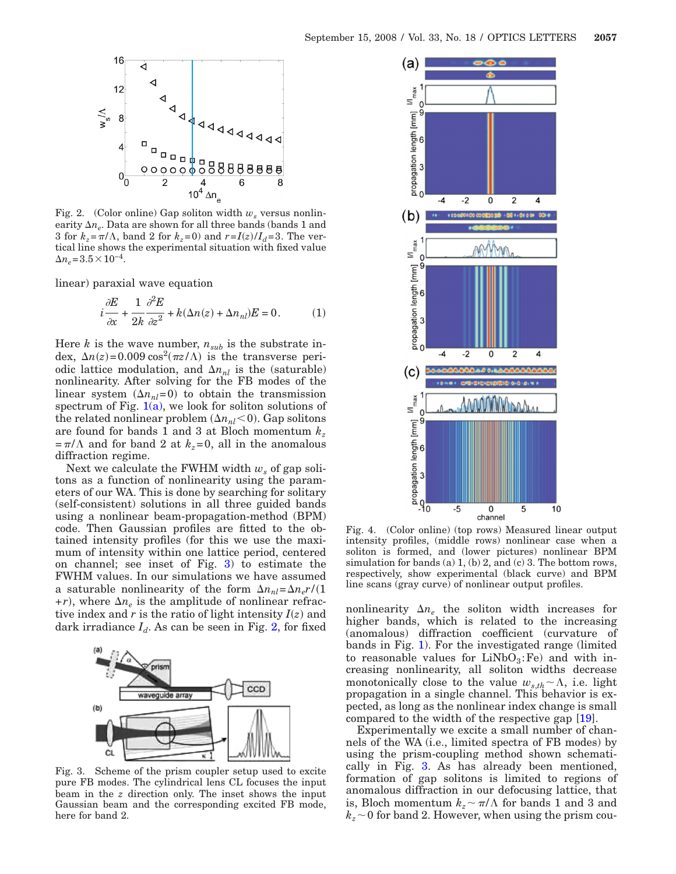<span id="page-1-1"></span>

Fig. 2. (Color online) Gap soliton width  $w_s$  versus nonlinearity  $\Delta n_e$ . Data are shown for all three bands (bands 1 and 3 for  $k_z = \pi/\Lambda$ , band 2 for  $k_z = 0$ ) and  $r = I(z)/I_d = 3$ . The vertical line shows the experimental situation with fixed value  $\Delta n_e = 3.5 \times 10^{-4}$ .

linear) paraxial wave equation

$$
i\frac{\partial E}{\partial x} + \frac{1}{2k}\frac{\partial^2 E}{\partial z^2} + k(\Delta n(z) + \Delta n_{nl})E = 0.
$$
 (1)

Here  $k$  is the wave number,  $n_{sub}$  is the substrate index,  $\Delta n(z) = 0.009 \cos^2(\pi z/\Lambda)$  is the transverse periodic lattice modulation, and  $\Delta n_{nl}$  is the (saturable) nonlinearity. After solving for the FB modes of the linear system  $(\Delta n_{nl}=0)$  to obtain the transmission spectrum of Fig.  $1(a)$ , we look for soliton solutions of the related nonlinear problem  $(\Delta n_{nl} < 0)$ . Gap solitons are found for bands 1 and 3 at Bloch momentum *kz*  $=\pi/\Lambda$  and for band 2 at  $k_z=0$ , all in the anomalous diffraction regime.

Next we calculate the FWHM width  $w_s$  of gap solitons as a function of nonlinearity using the parameters of our WA. This is done by searching for solitary (self-consistent) solutions in all three guided bands using a nonlinear beam-propagation-method (BPM) code. Then Gaussian profiles are fitted to the obtained intensity profiles (for this we use the maximum of intensity within one lattice period, centered on channel; see inset of Fig. [3\)](#page-1-0) to estimate the FWHM values. In our simulations we have assumed a saturable nonlinearity of the form  $\Delta n_{nl} = \Delta n_e r/(1$  $+r$ ), where  $\Delta n_e$  is the amplitude of nonlinear refractive index and  $r$  is the ratio of light intensity  $I(z)$  and dark irradiance  $I_d$ . As can be seen in Fig. [2,](#page-1-1) for fixed

<span id="page-1-0"></span>

Fig. 3. Scheme of the prism coupler setup used to excite pure FB modes. The cylindrical lens CL focuses the input beam in the *z* direction only. The inset shows the input Gaussian beam and the corresponding excited FB mode, here for band 2.

<span id="page-1-2"></span>

Fig. 4. (Color online) (top rows) Measured linear output intensity profiles, (middle rows) nonlinear case when a soliton is formed, and (lower pictures) nonlinear BPM simulation for bands (a)  $1$ , (b)  $2$ , and (c)  $3$ . The bottom rows, respectively, show experimental (black curve) and BPM line scans (gray curve) of nonlinear output profiles.

nonlinearity  $\Delta n_e$  the soliton width increases for higher bands, which is related to the increasing (anomalous) diffraction coefficient (curvature of bands in Fig. [1\)](#page-0-0). For the investigated range (limited to reasonable values for  $LiNbO<sub>3</sub>:Fe$  and with increasing nonlinearity, all soliton widths decrease monotonically close to the value  $w_{s,th} \sim \Lambda$ , i.e. light propagation in a single channel. This behavior is expected, as long as the nonlinear index change is small compared to the width of the respective gap [\[19\]](#page-2-16).

Experimentally we excite a small number of channels of the WA (i.e., limited spectra of FB modes) by using the prism-coupling method shown schematically in Fig. [3.](#page-1-0) As has already been mentioned, formation of gap solitons is limited to regions of anomalous diffraction in our defocusing lattice, that is, Bloch momentum  $k_z \sim \pi/\Lambda$  for bands 1 and 3 and  $k_z \sim 0$  for band 2. However, when using the prism cou